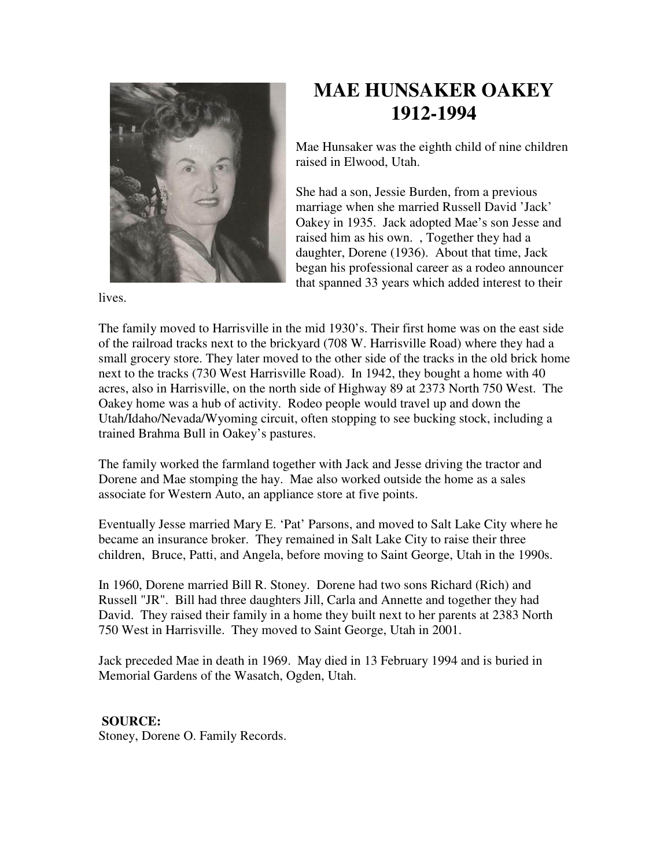

## **MAE HUNSAKER OAKEY 1912-1994**

Mae Hunsaker was the eighth child of nine children raised in Elwood, Utah.

She had a son, Jessie Burden, from a previous marriage when she married Russell David 'Jack' Oakey in 1935. Jack adopted Mae's son Jesse and raised him as his own. , Together they had a daughter, Dorene (1936). About that time, Jack began his professional career as a rodeo announcer that spanned 33 years which added interest to their

lives.

The family moved to Harrisville in the mid 1930's. Their first home was on the east side of the railroad tracks next to the brickyard (708 W. Harrisville Road) where they had a small grocery store. They later moved to the other side of the tracks in the old brick home next to the tracks (730 West Harrisville Road). In 1942, they bought a home with 40 acres, also in Harrisville, on the north side of Highway 89 at 2373 North 750 West. The Oakey home was a hub of activity. Rodeo people would travel up and down the Utah/Idaho/Nevada/Wyoming circuit, often stopping to see bucking stock, including a trained Brahma Bull in Oakey's pastures.

The family worked the farmland together with Jack and Jesse driving the tractor and Dorene and Mae stomping the hay. Mae also worked outside the home as a sales associate for Western Auto, an appliance store at five points.

Eventually Jesse married Mary E. 'Pat' Parsons, and moved to Salt Lake City where he became an insurance broker. They remained in Salt Lake City to raise their three children, Bruce, Patti, and Angela, before moving to Saint George, Utah in the 1990s.

In 1960, Dorene married Bill R. Stoney. Dorene had two sons Richard (Rich) and Russell "JR". Bill had three daughters Jill, Carla and Annette and together they had David. They raised their family in a home they built next to her parents at 2383 North 750 West in Harrisville. They moved to Saint George, Utah in 2001.

Jack preceded Mae in death in 1969. May died in 13 February 1994 and is buried in Memorial Gardens of the Wasatch, Ogden, Utah.

**SOURCE:**  Stoney, Dorene O. Family Records.